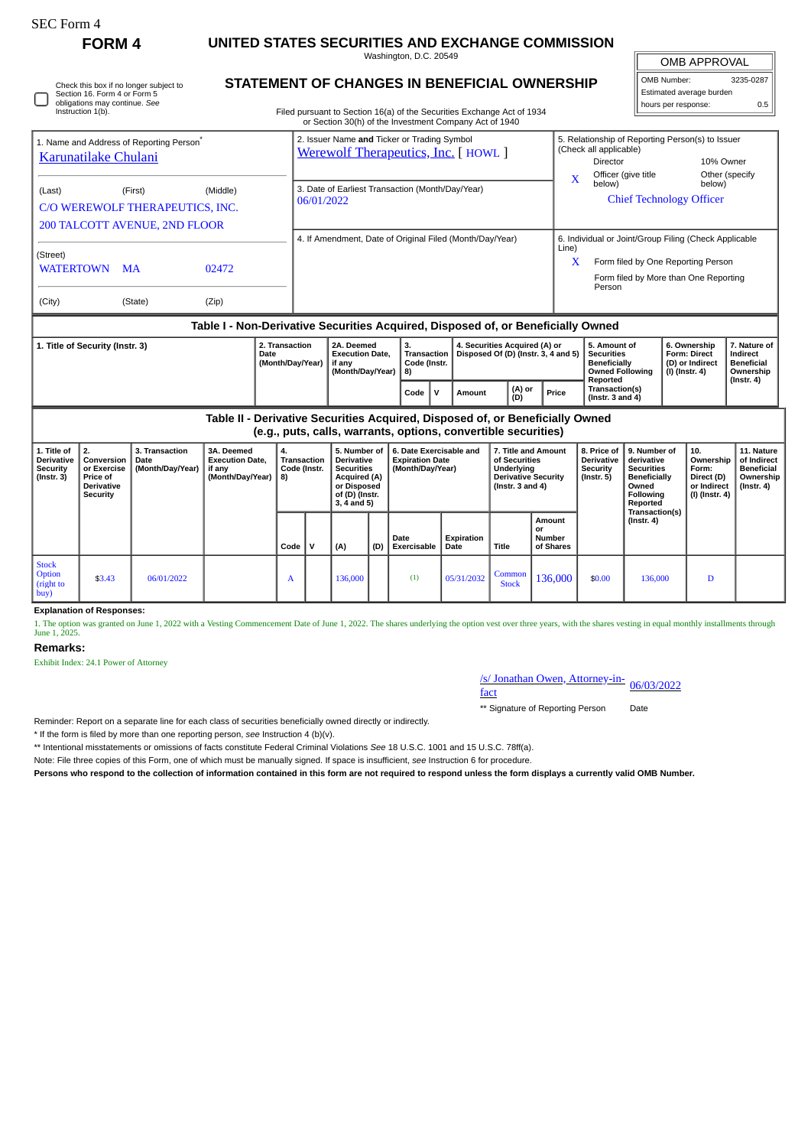| SEC Form 4 |  |
|------------|--|
|------------|--|

Check this box if no longer subject to Section 16. Form 4 or Form 5 obligations may continue. *See* Instruction 1(b).

**FORM 4 UNITED STATES SECURITIES AND EXCHANGE COMMISSION** Washington, D.C. 20549

OMB APPROVAL

 $\sqrt{ }$ 

| 3235-0287                |
|--------------------------|
| Estimated average burden |
| ሰ 5                      |
|                          |

**STATEMENT OF CHANGES IN BENEFICIAL OWNERSHIP**

Filed pursuant to Section 16(a) of the Securities Exchange Act of 1934

|                                                                                   |                                                                                  |                                            |                                                                    | or Section 30(h) of the Investment Company Act of 1940                            |                             |                                                                      |               |       |                                                                                    |                                                                                                                                                          |                                                            |  |  |  |
|-----------------------------------------------------------------------------------|----------------------------------------------------------------------------------|--------------------------------------------|--------------------------------------------------------------------|-----------------------------------------------------------------------------------|-----------------------------|----------------------------------------------------------------------|---------------|-------|------------------------------------------------------------------------------------|----------------------------------------------------------------------------------------------------------------------------------------------------------|------------------------------------------------------------|--|--|--|
| 1. Name and Address of Reporting Person <sup>®</sup><br>Karunatilake Chulani      |                                                                                  |                                            |                                                                    | 2. Issuer Name and Ticker or Trading Symbol<br>Werewolf Therapeutics, Inc. [HOWL] |                             |                                                                      |               |       |                                                                                    | 5. Relationship of Reporting Person(s) to Issuer<br>(Check all applicable)<br>10% Owner<br><b>Director</b><br>Other (specify<br>Officer (give title<br>X |                                                            |  |  |  |
| (Last)<br>C/O WEREWOLF THERAPEUTICS, INC.<br><b>200 TALCOTT AVENUE, 2ND FLOOR</b> | (First)                                                                          |                                            | 3. Date of Earliest Transaction (Month/Day/Year)<br>06/01/2022     |                                                                                   |                             |                                                                      |               |       | below)                                                                             | below)<br><b>Chief Technology Officer</b>                                                                                                                |                                                            |  |  |  |
|                                                                                   |                                                                                  |                                            |                                                                    | 4. If Amendment, Date of Original Filed (Month/Day/Year)                          |                             |                                                                      |               |       |                                                                                    | 6. Individual or Joint/Group Filing (Check Applicable<br>Line)                                                                                           |                                                            |  |  |  |
| (Street)<br><b>WATERTOWN</b>                                                      | <b>MA</b>                                                                        | 02472                                      |                                                                    |                                                                                   |                             |                                                                      |               |       |                                                                                    | Form filed by One Reporting Person<br>x<br>Form filed by More than One Reporting<br>Person                                                               |                                                            |  |  |  |
| (City)                                                                            | (State)                                                                          | (Zip)                                      |                                                                    |                                                                                   |                             |                                                                      |               |       |                                                                                    |                                                                                                                                                          |                                                            |  |  |  |
|                                                                                   | Table I - Non-Derivative Securities Acquired, Disposed of, or Beneficially Owned |                                            |                                                                    |                                                                                   |                             |                                                                      |               |       |                                                                                    |                                                                                                                                                          |                                                            |  |  |  |
| 1. Title of Security (Instr. 3)                                                   |                                                                                  | 2. Transaction<br>Date<br>(Month/Day/Year) | 2A. Deemed<br><b>Execution Date,</b><br>if anv<br>(Month/Day/Year) |                                                                                   | Transaction<br>Code (Instr. | 4. Securities Acquired (A) or<br>Disposed Of (D) (Instr. 3, 4 and 5) |               |       | 5. Amount of<br><b>Securities</b><br><b>Beneficially</b><br><b>Owned Following</b> | 6. Ownership<br><b>Form: Direct</b><br>(D) or Indirect<br>(I) (Instr. 4)                                                                                 | 7. Nature of<br>Indirect<br><b>Beneficial</b><br>Ownership |  |  |  |
|                                                                                   |                                                                                  |                                            |                                                                    | Code                                                                              | $\mathsf{v}$                | Amount                                                               | (A) or<br>(D) | Price | Reported<br>Transaction(s)<br>( $Instr. 3 and 4$ )                                 |                                                                                                                                                          | (Instr. 4)                                                 |  |  |  |

**Table II - Derivative Securities Acquired, Disposed of, or Beneficially Owned (e.g., puts, calls, warrants, options, convertible securities)**

| 1. Title of<br>Derivative<br><b>Security</b><br>$($ lnstr. 3 $)$ | 2.<br>Conversion<br>or Exercise<br><b>Price of</b><br><b>Derivative</b><br>Security | 3. Transaction<br>Date<br>(Month/Day/Year) | 3A. Deemed<br><b>Execution Date,</b><br>if any<br>(Month/Day/Year) | 4.<br>Transaction<br>Code (Instr.<br>8) |   | 5. Number of<br><b>Derivative</b><br><b>Securities</b><br>Acquired (A)<br>or Disposed<br>of (D) (Instr.<br>3, 4 and 5) |     | 6. Date Exercisable and<br><b>Expiration Date</b><br>(Month/Day/Year) |                    | 7. Title and Amount<br>of Securities<br>Underlying<br><b>Derivative Security</b><br>( $lnstr. 3 and 4$ ) |                                            | 8. Price of<br><b>Derivative</b><br><b>Security</b><br>(Instr. 5) | 9. Number of<br>derivative<br><b>Securities</b><br><b>Beneficially</b><br>Owned<br>Following<br>Reported | 10.<br>Ownership<br>Form:<br>Direct (D)<br>or Indirect<br>  (I) (Instr. 4) | 11. Nature<br>of Indirect<br><b>Beneficial</b><br>Ownership<br>$($ lnstr. 4 $)$ |
|------------------------------------------------------------------|-------------------------------------------------------------------------------------|--------------------------------------------|--------------------------------------------------------------------|-----------------------------------------|---|------------------------------------------------------------------------------------------------------------------------|-----|-----------------------------------------------------------------------|--------------------|----------------------------------------------------------------------------------------------------------|--------------------------------------------|-------------------------------------------------------------------|----------------------------------------------------------------------------------------------------------|----------------------------------------------------------------------------|---------------------------------------------------------------------------------|
|                                                                  |                                                                                     |                                            |                                                                    | Code                                    | v | (A)                                                                                                                    | (D) | Date<br>Exercisable                                                   | Expiration<br>Date | Title                                                                                                    | Amount<br>or<br><b>Number</b><br>of Shares | Transaction(s)<br>$($ Instr. 4 $)$                                |                                                                                                          |                                                                            |                                                                                 |
| <b>Stock</b><br><b>Option</b><br>(right to<br> buy)              | \$3.43                                                                              | 06/01/2022                                 |                                                                    | A                                       |   | 136,000                                                                                                                |     | (1)                                                                   | 05/31/2032         | Common<br><b>Stock</b>                                                                                   | 136,000                                    | \$0.00                                                            | 136,000                                                                                                  | D                                                                          |                                                                                 |

**Explanation of Responses:**

1. The option was granted on June 1, 2022 with a Vesting Commencement Date of June 1, 2022. The shares underlying the option vest over three years, with the shares vesting in equal monthly installments through June 1, 2025.

**Remarks:**

Exhibit Index: 24.1 Power of Attorney

/s/ Jonathan Owen, Attorney-in-<br>fact

\*\* Signature of Reporting Person Date

Reminder: Report on a separate line for each class of securities beneficially owned directly or indirectly.

\* If the form is filed by more than one reporting person, *see* Instruction 4 (b)(v).

\*\* Intentional misstatements or omissions of facts constitute Federal Criminal Violations *See* 18 U.S.C. 1001 and 15 U.S.C. 78ff(a).

Note: File three copies of this Form, one of which must be manually signed. If space is insufficient, *see* Instruction 6 for procedure.

**Persons who respond to the collection of information contained in this form are not required to respond unless the form displays a currently valid OMB Number.**